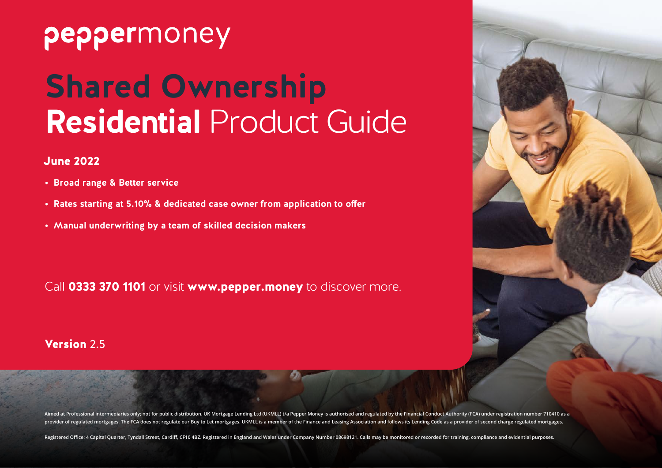## peppermoney

# **Shared Ownership Residential** Product Guide

#### June 2022

- **• Broad range & Better service**
- **• Rates starting at 5.10% & dedicated case owner from application to offer**
- **• Manual underwriting by a team of skilled decision makers**

Call **0333 370 1101** or visit **www.pepper.money** to discover more.

#### Version 2.5



Aimed at Professional intermediaries only; not for public distribution. UK Mortgage Lending Ltd (UKMLL) t/a Pepper Money is authorised and regulated by the Financial Conduct Authority (FCA) under registration number 710410 provider of regulated mortgages. The FCA does not regulate our Buy to Let mortgages. UKMLL is a member of the Finance and Leasing Association and follows its Lending Code as a provider of second charge regulated mortgages.

Registered Office: 4 Capital Quarter, Tyndall Street, Cardiff, CF10 4BZ. Registered in England and Wales under Company Number 08698121. Calls may be monitored or recorded for training, compliance and evidential purposes.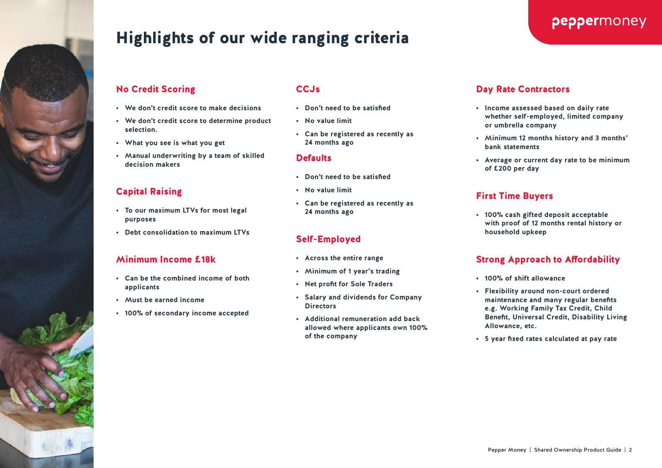

## Highlights of our wide ranging criteria

#### No Credit Scoring

- **• We don't credit score to make decisions**
- **• We don't credit score to determine product selection.**
- **• What you see is what you get**
- **• Manual underwriting by a team of skilled decision makers**

#### Capital Raising

- **• To our maximum LTVs for most legal purposes**
- **• Debt consolidation to maximum LTVs**

#### Minimum Income £18k

- **• Can be the combined income of both applicants**
- **• Must be earned income**
- **• 100% of secondary income accepted**

#### CC.<sub>Js</sub>

- **• Don't need to be satisfied**
- **• No value limit**
- **• Can be registered as recently as 24 months ago**

#### **Defaults**

- **• Don't need to be satisfied**
- **• No value limit**
- **• Can be registered as recently as 24 months ago**

#### Self-Employed

- **• Across the entire range**
- **• Minimum of 1 year's trading**
- **• Net profit for Sole Traders**
- **• Salary and dividends for Company Directors**
- **• Additional remuneration add back allowed where applicants own 100% of the company**

#### Day Rate Contractors

- **• Income assessed based on daily rate whether self-employed, limited company or umbrella company**
- **• Minimum 12 months history and 3 months' bank statements**
- **• Average or current day rate to be minimum of £200 per day**

#### First Time Buyers

**• 100% cash gifted deposit acceptable with proof of 12 months rental history or household upkeep**

#### Strong Approach to Affordability

- **• 100% of shift allowance**
- **• Flexibility around non-court ordered maintenance and many regular benefits e.g. Working Family Tax Credit, Child Benefit, Universal Credit, Disability Living Allowance, etc.**
- **• 5 year fixed rates calculated at pay rate**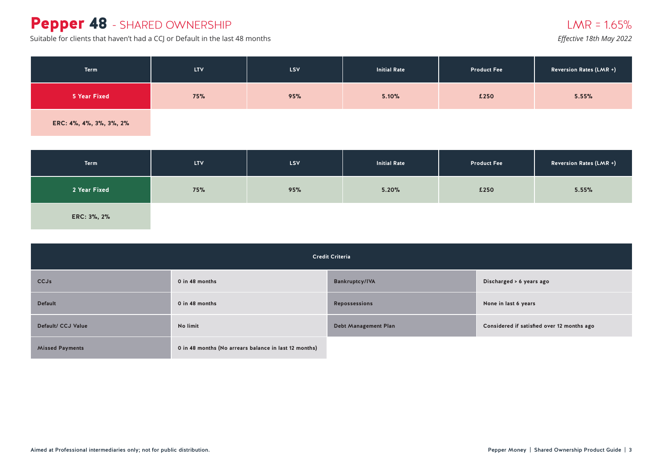## Pepper 48 - SHARED OWNERSHIP

Suitable for clients that haven't had a CCJ or Default in the last 48 months

|  | Effective T8th May 2022 |  |
|--|-------------------------|--|
|  |                         |  |

| Term                    | <b>LTV</b> | LSV | <b>Initial Rate</b> | <b>Product Fee</b> | <b>Reversion Rates (LMR +)</b> |
|-------------------------|------------|-----|---------------------|--------------------|--------------------------------|
| 5 Year Fixed            | 75%        | 95% | 5.10%               | £250               | 5.55%                          |
| ERC: 4%, 4%, 3%, 3%, 2% |            |     |                     |                    |                                |

| Term         | <b>LTV</b> | <b>LSV</b> | <b>Initial Rate</b> | <b>Product Fee</b> | <b>Reversion Rates (LMR +)</b> |
|--------------|------------|------------|---------------------|--------------------|--------------------------------|
| 2 Year Fixed | 75%        | 95%        | 5.20%               | £250               | 5.55%                          |
| ERC: 3%, 2%  |            |            |                     |                    |                                |

| <b>Credit Criteria</b> |                                                       |                             |                                            |  |  |
|------------------------|-------------------------------------------------------|-----------------------------|--------------------------------------------|--|--|
| <b>CCJs</b>            | 0 in 48 months                                        | <b>Bankruptcy/IVA</b>       | Discharged > 6 years ago                   |  |  |
| <b>Default</b>         | 0 in 48 months                                        | <b>Repossessions</b>        | None in last 6 years                       |  |  |
| Default/ CCJ Value     | No limit                                              | <b>Debt Management Plan</b> | Considered if satisfied over 12 months ago |  |  |
| <b>Missed Payments</b> | 0 in 48 months (No arrears balance in last 12 months) |                             |                                            |  |  |

## $LMR = 1.65\%$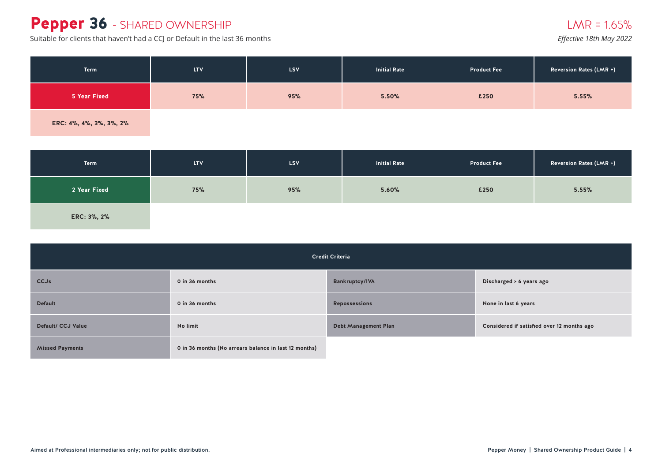## Pepper 36 - SHARED OWNERSHIP

Suitable for clients that haven't had a CCJ or Default in the last 36 months *Effective 18th May 2022* 

| Term                    | <b>LTV</b> | LSV | <b>Initial Rate</b> | <b>Product Fee</b> | <b>Reversion Rates (LMR +)</b> |
|-------------------------|------------|-----|---------------------|--------------------|--------------------------------|
| 5 Year Fixed            | <b>75%</b> | 95% | 5.50%               | £250               | 5.55%                          |
| ERC: 4%, 4%, 3%, 3%, 2% |            |     |                     |                    |                                |

| <b>Term</b>  | <b>LTV</b> | LSV <sub>.</sub> | <b>Initial Rate</b> | <b>Product Fee</b> | <b>Reversion Rates (LMR +)</b> |
|--------------|------------|------------------|---------------------|--------------------|--------------------------------|
| 2 Year Fixed | 75%        | 95%              | 5.60%               | £250               | 5.55%                          |
| ERC: 3%, 2%  |            |                  |                     |                    |                                |

| <b>Credit Criteria</b> |                                                       |                             |                                            |  |  |
|------------------------|-------------------------------------------------------|-----------------------------|--------------------------------------------|--|--|
| <b>CCJs</b>            | 0 in 36 months                                        | <b>Bankruptcy/IVA</b>       | Discharged > 6 years ago                   |  |  |
| <b>Default</b>         | 0 in 36 months                                        | <b>Repossessions</b>        | None in last 6 years                       |  |  |
| Default/ CCJ Value     | No limit                                              | <b>Debt Management Plan</b> | Considered if satisfied over 12 months ago |  |  |
| <b>Missed Payments</b> | 0 in 36 months (No arrears balance in last 12 months) |                             |                                            |  |  |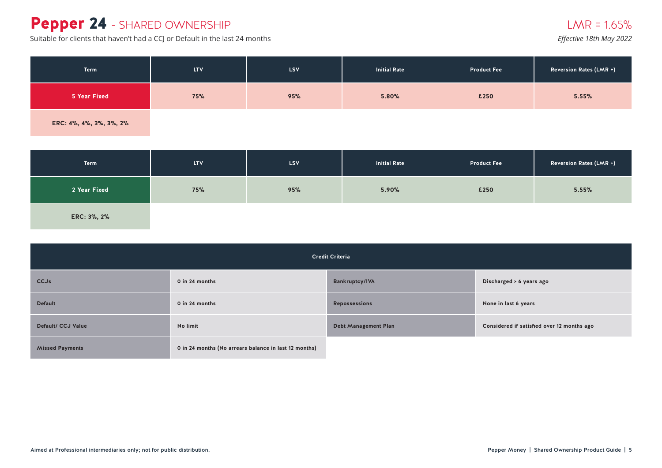## Pepper 24 - SHARED OWNERSHIP

Suitable for clients that haven't had a CCJ or Default in the last 24 months *Effective 18th May 2022* 

| Term                    | <b>LTV</b> | LSV | <b>Initial Rate</b> | <b>Product Fee</b> | <b>Reversion Rates (LMR +)</b> |
|-------------------------|------------|-----|---------------------|--------------------|--------------------------------|
| 5 Year Fixed            | 75%        | 95% | 5.80%               | £250               | 5.55%                          |
| ERC: 4%, 4%, 3%, 3%, 2% |            |     |                     |                    |                                |

| <b>Term</b>  | <b>LTV</b> | LSV <sub>.</sub> | <b>Initial Rate</b> | <b>Product Fee</b> | <b>Reversion Rates (LMR +)</b> |
|--------------|------------|------------------|---------------------|--------------------|--------------------------------|
| 2 Year Fixed | 75%        | 95%              | 5.90%               | £250               | 5.55%                          |
| ERC: 3%, 2%  |            |                  |                     |                    |                                |

| <b>Credit Criteria</b> |                                                       |                             |                                            |  |  |
|------------------------|-------------------------------------------------------|-----------------------------|--------------------------------------------|--|--|
| CCJs                   | 0 in 24 months                                        | <b>Bankruptcy/IVA</b>       | Discharged > 6 years ago                   |  |  |
| <b>Default</b>         | 0 in 24 months                                        | <b>Repossessions</b>        | None in last 6 years                       |  |  |
| Default/ CCJ Value     | No limit                                              | <b>Debt Management Plan</b> | Considered if satisfied over 12 months ago |  |  |
| <b>Missed Payments</b> | 0 in 24 months (No arrears balance in last 12 months) |                             |                                            |  |  |